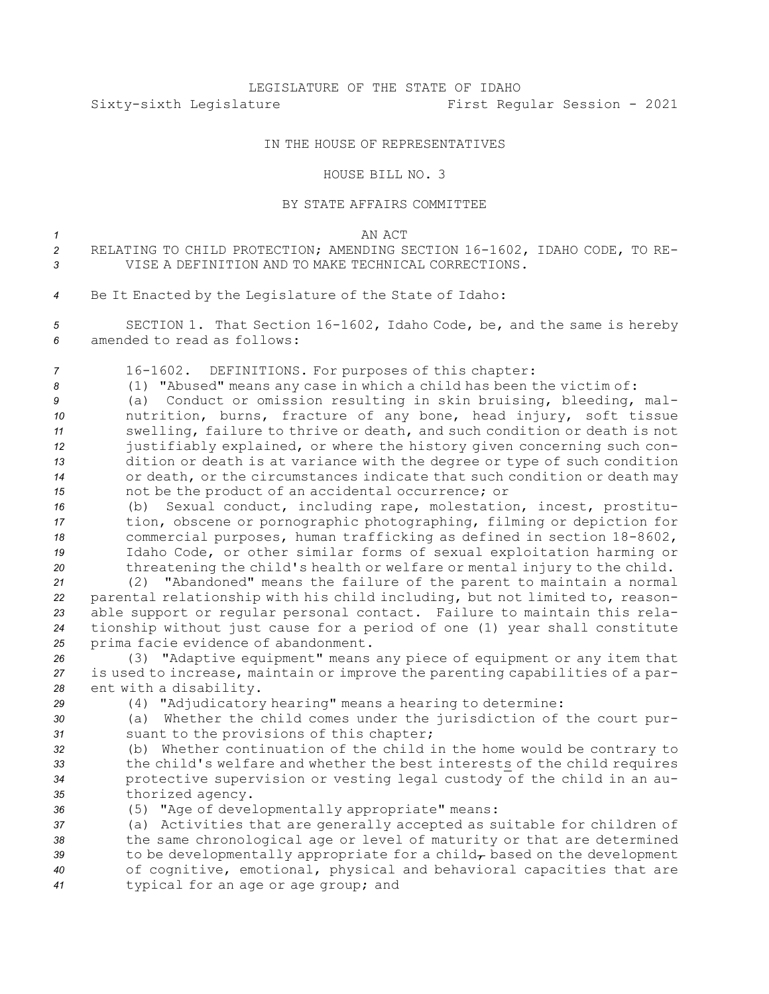## IN THE HOUSE OF REPRESENTATIVES

## HOUSE BILL NO. 3

## BY STATE AFFAIRS COMMITTEE

*1* AN ACT

- *<sup>2</sup>* RELATING TO CHILD PROTECTION; AMENDING SECTION 16-1602, IDAHO CODE, TO RE-*3* VISE A DEFINITION AND TO MAKE TECHNICAL CORRECTIONS.
- *<sup>4</sup>* Be It Enacted by the Legislature of the State of Idaho:

*<sup>5</sup>* SECTION 1. That Section 16-1602, Idaho Code, be, and the same is hereby *6* amended to read as follows:

*<sup>7</sup>* 16-1602. DEFINITIONS. For purposes of this chapter:

*<sup>8</sup>* (1) "Abused" means any case in which <sup>a</sup> child has been the victim of:

 (a) Conduct or omission resulting in skin bruising, bleeding, mal- nutrition, burns, fracture of any bone, head injury, soft tissue swelling, failure to thrive or death, and such condition or death is not justifiably explained, or where the history given concerning such con- dition or death is at variance with the degree or type of such condition or death, or the circumstances indicate that such condition or death may not be the product of an accidental occurrence; or

 (b) Sexual conduct, including rape, molestation, incest, prostitu- tion, obscene or pornographic photographing, filming or depiction for commercial purposes, human trafficking as defined in section 18-8602, Idaho Code, or other similar forms of sexual exploitation harming or threatening the child's health or welfare or mental injury to the child.

 (2) "Abandoned" means the failure of the parent to maintain <sup>a</sup> normal parental relationship with his child including, but not limited to, reason- able support or regular personal contact. Failure to maintain this rela- tionship without just cause for <sup>a</sup> period of one (1) year shall constitute prima facie evidence of abandonment.

*<sup>26</sup>* (3) "Adaptive equipment" means any piece of equipment or any item that *<sup>27</sup>* is used to increase, maintain or improve the parenting capabilities of <sup>a</sup> par-*<sup>28</sup>* ent with <sup>a</sup> disability.

*<sup>29</sup>* (4) "Adjudicatory hearing" means <sup>a</sup> hearing to determine:

*<sup>30</sup>* (a) Whether the child comes under the jurisdiction of the court pur-*<sup>31</sup>* suant to the provisions of this chapter;

 (b) Whether continuation of the child in the home would be contrary to the child's welfare and whether the best interests of the child requires protective supervision or vesting legal custody of the child in an au-thorized agency.

*<sup>36</sup>* (5) "Age of developmentally appropriate" means:

 (a) Activities that are generally accepted as suitable for children of the same chronological age or level of maturity or that are determined 39 to be developmentally appropriate for a child $<sub>\tau</sub>$  based on the development</sub> of cognitive, emotional, physical and behavioral capacities that are typical for an age or age group; and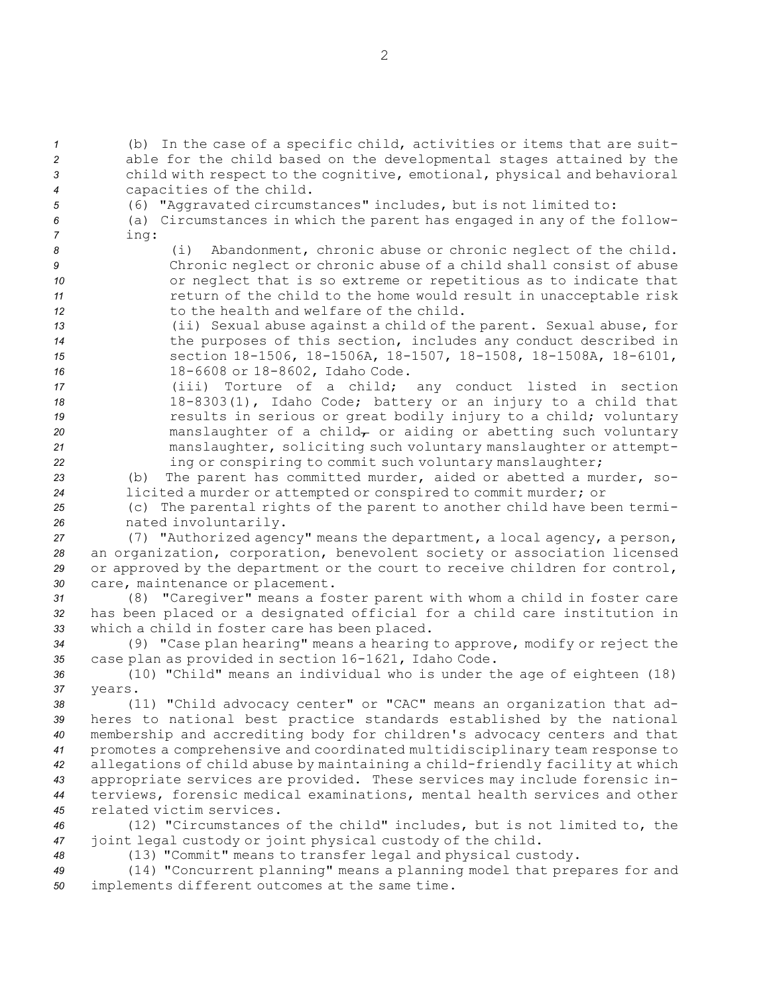(b) In the case of <sup>a</sup> specific child, activities or items that are suit- able for the child based on the developmental stages attained by the child with respect to the cognitive, emotional, physical and behavioral capacities of the child. (6) "Aggravated circumstances" includes, but is not limited to: (a) Circumstances in which the parent has engaged in any of the follow-*<sup>7</sup>* ing: (i) Abandonment, chronic abuse or chronic neglect of the child. Chronic neglect or chronic abuse of <sup>a</sup> child shall consist of abuse or neglect that is so extreme or repetitious as to indicate that return of the child to the home would result in unacceptable risk 12 to the health and welfare of the child. (ii) Sexual abuse against <sup>a</sup> child of the parent. Sexual abuse, for the purposes of this section, includes any conduct described in section 18-1506, 18-1506A, 18-1507, 18-1508, 18-1508A, 18-6101, 18-6608 or 18-8602, Idaho Code. (iii) Torture of <sup>a</sup> child; any conduct listed in section 18-8303(1), Idaho Code; battery or an injury to <sup>a</sup> child that **19** results in serious or great bodily injury to a child; voluntary 20 manslaughter of a child<sub>r</sub> or aiding or abetting such voluntary manslaughter, soliciting such voluntary manslaughter or attempt-**ing or conspiring to commit such voluntary manslaughter;**  (b) The parent has committed murder, aided or abetted <sup>a</sup> murder, so- licited <sup>a</sup> murder or attempted or conspired to commit murder; or (c) The parental rights of the parent to another child have been termi- nated involuntarily. (7) "Authorized agency" means the department, <sup>a</sup> local agency, <sup>a</sup> person, an organization, corporation, benevolent society or association licensed or approved by the department or the court to receive children for control, care, maintenance or placement. (8) "Caregiver" means <sup>a</sup> foster parent with whom <sup>a</sup> child in foster care has been placed or <sup>a</sup> designated official for <sup>a</sup> child care institution in which <sup>a</sup> child in foster care has been placed. (9) "Case plan hearing" means <sup>a</sup> hearing to approve, modify or reject the case plan as provided in section 16-1621, Idaho Code. (10) "Child" means an individual who is under the age of eighteen (18) *37* years. (11) "Child advocacy center" or "CAC" means an organization that ad- heres to national best practice standards established by the national membership and accrediting body for children's advocacy centers and that promotes <sup>a</sup> comprehensive and coordinated multidisciplinary team response to allegations of child abuse by maintaining <sup>a</sup> child-friendly facility at which appropriate services are provided. These services may include forensic in- terviews, forensic medical examinations, mental health services and other related victim services. (12) "Circumstances of the child" includes, but is not limited to, the joint legal custody or joint physical custody of the child. (13) "Commit" means to transfer legal and physical custody. (14) "Concurrent planning" means <sup>a</sup> planning model that prepares for and implements different outcomes at the same time.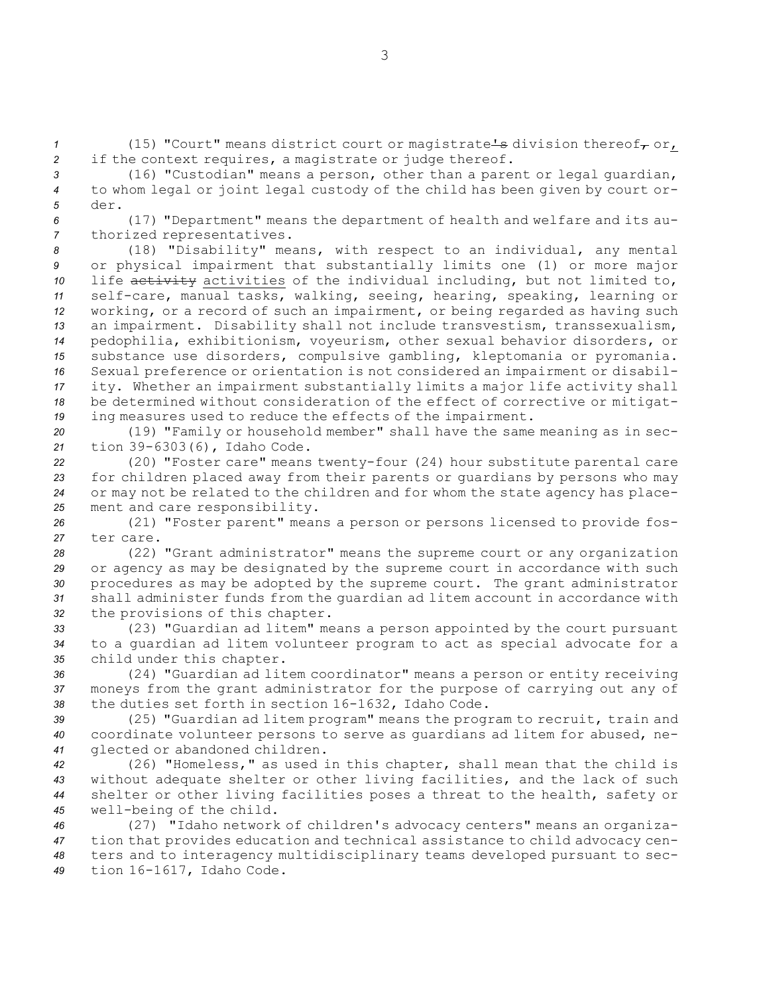*1* (15) "Court" means district court or magistrate<sup>1</sup>s division thereof<sub> $\tau$ </sub> or, *<sup>2</sup>* if the context requires, <sup>a</sup> magistrate or judge thereof.

*<sup>3</sup>* (16) "Custodian" means <sup>a</sup> person, other than <sup>a</sup> parent or legal guardian, *<sup>4</sup>* to whom legal or joint legal custody of the child has been given by court or-*5* der.

*<sup>6</sup>* (17) "Department" means the department of health and welfare and its au-*<sup>7</sup>* thorized representatives.

 (18) "Disability" means, with respect to an individual, any mental or physical impairment that substantially limits one (1) or more major life activity activities of the individual including, but not limited to, self-care, manual tasks, walking, seeing, hearing, speaking, learning or working, or <sup>a</sup> record of such an impairment, or being regarded as having such an impairment. Disability shall not include transvestism, transsexualism, pedophilia, exhibitionism, voyeurism, other sexual behavior disorders, or substance use disorders, compulsive gambling, kleptomania or pyromania. Sexual preference or orientation is not considered an impairment or disabil- ity. Whether an impairment substantially limits <sup>a</sup> major life activity shall be determined without consideration of the effect of corrective or mitigat-ing measures used to reduce the effects of the impairment.

*<sup>20</sup>* (19) "Family or household member" shall have the same meaning as in sec-*<sup>21</sup>* tion 39-6303(6), Idaho Code.

 (20) "Foster care" means twenty-four (24) hour substitute parental care for children placed away from their parents or guardians by persons who may or may not be related to the children and for whom the state agency has place-ment and care responsibility.

*<sup>26</sup>* (21) "Foster parent" means <sup>a</sup> person or persons licensed to provide fos-*27* ter care.

 (22) "Grant administrator" means the supreme court or any organization or agency as may be designated by the supreme court in accordance with such procedures as may be adopted by the supreme court. The grant administrator shall administer funds from the guardian ad litem account in accordance with the provisions of this chapter.

*<sup>33</sup>* (23) "Guardian ad litem" means <sup>a</sup> person appointed by the court pursuant *<sup>34</sup>* to <sup>a</sup> guardian ad litem volunteer program to act as special advocate for <sup>a</sup> *<sup>35</sup>* child under this chapter.

*<sup>36</sup>* (24) "Guardian ad litem coordinator" means <sup>a</sup> person or entity receiving *<sup>37</sup>* moneys from the grant administrator for the purpose of carrying out any of *<sup>38</sup>* the duties set forth in section 16-1632, Idaho Code.

*<sup>39</sup>* (25) "Guardian ad litem program" means the program to recruit, train and *<sup>40</sup>* coordinate volunteer persons to serve as guardians ad litem for abused, ne-*<sup>41</sup>* glected or abandoned children.

 (26) "Homeless," as used in this chapter, shall mean that the child is without adequate shelter or other living facilities, and the lack of such shelter or other living facilities poses <sup>a</sup> threat to the health, safety or well-being of the child.

 (27) "Idaho network of children's advocacy centers" means an organiza- tion that provides education and technical assistance to child advocacy cen- ters and to interagency multidisciplinary teams developed pursuant to sec-tion 16-1617, Idaho Code.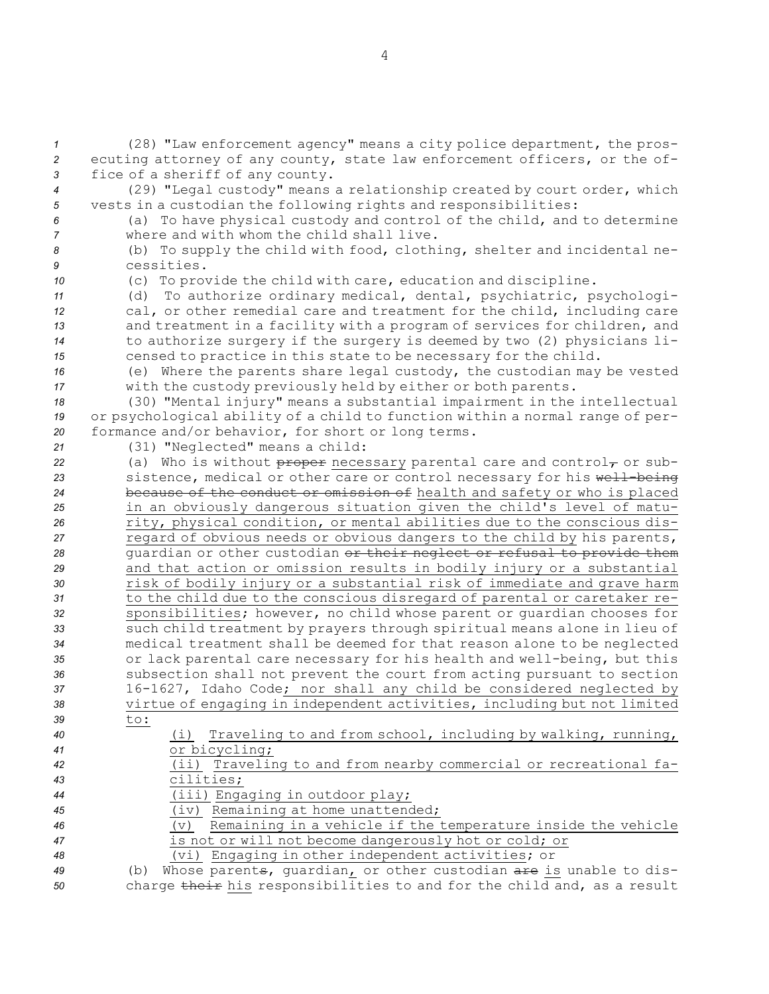(28) "Law enforcement agency" means <sup>a</sup> city police department, the pros- ecuting attorney of any county, state law enforcement officers, or the of- fice of <sup>a</sup> sheriff of any county. (29) "Legal custody" means <sup>a</sup> relationship created by court order, which vests in <sup>a</sup> custodian the following rights and responsibilities: (a) To have physical custody and control of the child, and to determine where and with whom the child shall live. (b) To supply the child with food, clothing, shelter and incidental ne- cessities. (c) To provide the child with care, education and discipline. (d) To authorize ordinary medical, dental, psychiatric, psychologi- cal, or other remedial care and treatment for the child, including care and treatment in <sup>a</sup> facility with <sup>a</sup> program of services for children, and to authorize surgery if the surgery is deemed by two (2) physicians li- censed to practice in this state to be necessary for the child. (e) Where the parents share legal custody, the custodian may be vested with the custody previously held by either or both parents. (30) "Mental injury" means <sup>a</sup> substantial impairment in the intellectual or psychological ability of <sup>a</sup> child to function within <sup>a</sup> normal range of per- formance and/or behavior, for short or long terms. (31) "Neglected" means <sup>a</sup> child: 22 (a) Who is without  $\frac{1}{2}$  proper necessary parental care and control<sub> $\tau$ </sub> or sub-23 sistence, medical or other care or control necessary for his well-being because of the conduct or omission of health and safety or who is placed in an obviously dangerous situation given the child's level of matu- rity, physical condition, or mental abilities due to the conscious dis- regard of obvious needs or obvious dangers to the child by his parents, guardian or other custodian or their neglect or refusal to provide them and that action or omission results in bodily injury or <sup>a</sup> substantial 30 risk of bodily injury or a substantial risk of immediate and grave harm to the child due to the conscious disregard of parental or caretaker re- sponsibilities; however, no child whose parent or guardian chooses for such child treatment by prayers through spiritual means alone in lieu of medical treatment shall be deemed for that reason alone to be neglected or lack parental care necessary for his health and well-being, but this subsection shall not prevent the court from acting pursuant to section 16-1627, Idaho Code; nor shall any child be considered neglected by virtue of engaging in independent activities, including but not limited *39* to: (i) Traveling to and from school, including by walking, running, or bicycling; (ii) Traveling to and from nearby commercial or recreational fa- cilities; (iii) Engaging in outdoor play; (iv) Remaining at home unattended; (v) Remaining in <sup>a</sup> vehicle if the temperature inside the vehicle is not or will not become dangerously hot or cold; or (vi) Engaging in other independent activities; or 49 (b) Whose parents, quardian, or other custodian are is unable to dis-charge their his responsibilities to and for the child and, as <sup>a</sup> result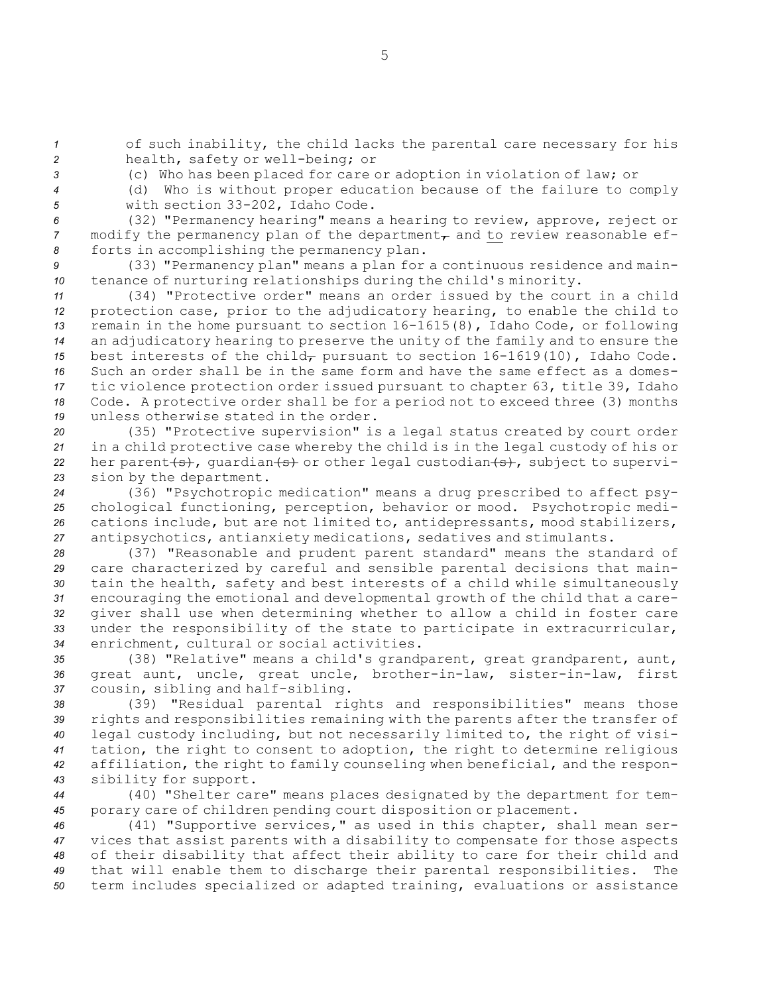*<sup>1</sup>* of such inability, the child lacks the parental care necessary for his *<sup>2</sup>* health, safety or well-being; or

*<sup>3</sup>* (c) Who has been placed for care or adoption in violation of law; or

*<sup>4</sup>* (d) Who is without proper education because of the failure to comply *<sup>5</sup>* with section 33-202, Idaho Code.

*<sup>6</sup>* (32) "Permanency hearing" means <sup>a</sup> hearing to review, approve, reject or 7 modify the permanency plan of the department<sub>r</sub> and to review reasonable ef-*<sup>8</sup>* forts in accomplishing the permanency plan.

*<sup>9</sup>* (33) "Permanency plan" means <sup>a</sup> plan for <sup>a</sup> continuous residence and main-*<sup>10</sup>* tenance of nurturing relationships during the child's minority.

 (34) "Protective order" means an order issued by the court in <sup>a</sup> child protection case, prior to the adjudicatory hearing, to enable the child to remain in the home pursuant to section 16-1615(8), Idaho Code, or following an adjudicatory hearing to preserve the unity of the family and to ensure the 15 best interests of the child<sub>r</sub> pursuant to section 16-1619(10), Idaho Code. Such an order shall be in the same form and have the same effect as <sup>a</sup> domes- tic violence protection order issued pursuant to chapter 63, title 39, Idaho Code. <sup>A</sup> protective order shall be for <sup>a</sup> period not to exceed three (3) months unless otherwise stated in the order.

 (35) "Protective supervision" is <sup>a</sup> legal status created by court order in <sup>a</sup> child protective case whereby the child is in the legal custody of his or 22 her parent (s), guardian (s) or other legal custodian (s), subject to supervi-sion by the department.

 (36) "Psychotropic medication" means <sup>a</sup> drug prescribed to affect psy- chological functioning, perception, behavior or mood. Psychotropic medi- cations include, but are not limited to, antidepressants, mood stabilizers, antipsychotics, antianxiety medications, sedatives and stimulants.

 (37) "Reasonable and prudent parent standard" means the standard of care characterized by careful and sensible parental decisions that main- tain the health, safety and best interests of <sup>a</sup> child while simultaneously encouraging the emotional and developmental growth of the child that <sup>a</sup> care- giver shall use when determining whether to allow <sup>a</sup> child in foster care under the responsibility of the state to participate in extracurricular, enrichment, cultural or social activities.

*<sup>35</sup>* (38) "Relative" means <sup>a</sup> child's grandparent, great grandparent, aunt, *<sup>36</sup>* great aunt, uncle, great uncle, brother-in-law, sister-in-law, first *<sup>37</sup>* cousin, sibling and half-sibling.

 (39) "Residual parental rights and responsibilities" means those rights and responsibilities remaining with the parents after the transfer of legal custody including, but not necessarily limited to, the right of visi- tation, the right to consent to adoption, the right to determine religious affiliation, the right to family counseling when beneficial, and the respon-sibility for support.

*<sup>44</sup>* (40) "Shelter care" means places designated by the department for tem-*<sup>45</sup>* porary care of children pending court disposition or placement.

 (41) "Supportive services," as used in this chapter, shall mean ser- vices that assist parents with <sup>a</sup> disability to compensate for those aspects of their disability that affect their ability to care for their child and that will enable them to discharge their parental responsibilities. The term includes specialized or adapted training, evaluations or assistance